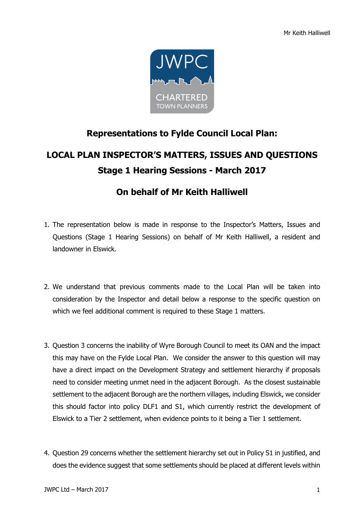

## **Representations to Fylde Council Local Plan:**

## **LOCAL PLAN INSPECTOR'S MATTERS, ISSUES AND QUESTIONS Stage 1 Hearing Sessions - March 2017**

## **On behalf of Mr Keith Halliwell**

- 1. The representation below is made in response to the Inspector's Matters, Issues and Questions (Stage 1 Hearing Sessions) on behalf of Mr Keith Halliwell, a resident and landowner in Elswick.
- 2. We understand that previous comments made to the Local Plan will be taken into consideration by the Inspector and detail below a response to the specific question on which we feel additional comment is required to these Stage 1 matters.
- 3. Question 3 concerns the inability of Wyre Borough Council to meet its OAN and the impact this may have on the Fylde Local Plan. We consider the answer to this question will may have a direct impact on the Development Strategy and settlement hierarchy if proposals need to consider meeting unmet need in the adjacent Borough. As the closest sustainable settlement to the adjacent Borough are the northern villages, including Elswick, we consider this should factor into policy DLF1 and S1, which currently restrict the development of Elswick to a Tier 2 settlement, when evidence points to it being a Tier 1 settlement.
- 4. Question 29 concerns whether the settlement hierarchy set out in Policy S1 in justified, and does the evidence suggest that some settlements should be placed at different levels within